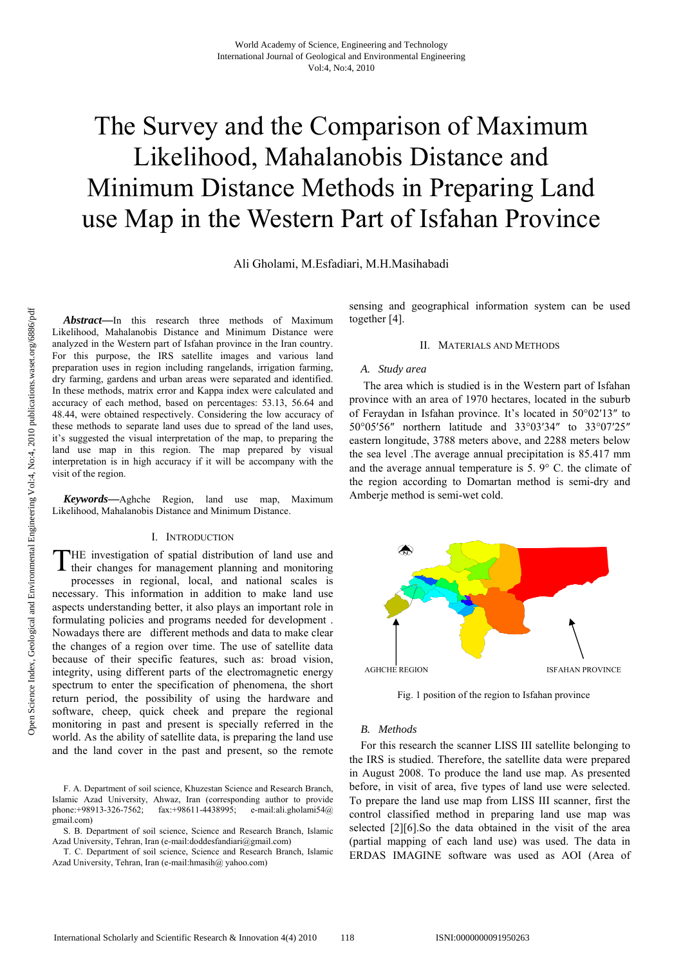# The Survey and the Comparison of Maximum Likelihood, Mahalanobis Distance and Minimum Distance Methods in Preparing Land use Map in the Western Part of Isfahan Province

Ali Gholami, M.Esfadiari, M.H.Masihabadi

*Abstract***—**In this research three methods of Maximum Likelihood, Mahalanobis Distance and Minimum Distance were analyzed in the Western part of Isfahan province in the Iran country. For this purpose, the IRS satellite images and various land preparation uses in region including rangelands, irrigation farming, dry farming, gardens and urban areas were separated and identified. In these methods, matrix error and Kappa index were calculated and accuracy of each method, based on percentages: 53.13, 56.64 and 48.44, were obtained respectively. Considering the low accuracy of these methods to separate land uses due to spread of the land uses, it's suggested the visual interpretation of the map, to preparing the land use map in this region. The map prepared by visual interpretation is in high accuracy if it will be accompany with the visit of the region.

*Keywords***—**Aghche Region, land use map, Maximum Likelihood, Mahalanobis Distance and Minimum Distance.

#### I. INTRODUCTION

HE investigation of spatial distribution of land use and THE investigation of spatial distribution of land use and their changes for management planning and monitoring processes in regional, local, and national scales is necessary. This information in addition to make land use aspects understanding better, it also plays an important role in formulating policies and programs needed for development . Nowadays there are different methods and data to make clear the changes of a region over time. The use of satellite data because of their specific features, such as: broad vision, integrity, using different parts of the electromagnetic energy spectrum to enter the specification of phenomena, the short return period, the possibility of using the hardware and software, cheep, quick cheek and prepare the regional monitoring in past and present is specially referred in the world. As the ability of satellite data, is preparing the land use and the land cover in the past and present, so the remote

F. A. Department of soil science, Khuzestan Science and Research Branch, Islamic Azad University, Ahwaz, Iran (corresponding author to provide phone:+98913-326-7562; fax:+98611-4438995; e-mail:ali.gholami54@ gmail.com)

S. B. Department of soil science, Science and Research Branch, Islamic Azad University, Tehran, Iran (e-mail:doddesfandiari@gmail.com)

T. C. Department of soil science, Science and Research Branch, Islamic Azad University, Tehran, Iran (e-mail:hmasih@ yahoo.com)

sensing and geographical information system can be used together [4].

#### II. MATERIALS AND METHODS

### *A. Study area*

 The area which is studied is in the Western part of Isfahan province with an area of 1970 hectares, located in the suburb of Feraydan in Isfahan province. It's located in 50°02′13″ to 50°05′56″ northern latitude and 33°03′34″ to 33°07′25″ eastern longitude, 3788 meters above, and 2288 meters below the sea level .The average annual precipitation is 85.417 mm and the average annual temperature is 5. 9° C. the climate of the region according to Domartan method is semi-dry and Amberje method is semi-wet cold.



Fig. 1 position of the region to Isfahan province

#### *B. Methods*

For this research the scanner LISS III satellite belonging to the IRS is studied. Therefore, the satellite data were prepared in August 2008. To produce the land use map. As presented before, in visit of area, five types of land use were selected. To prepare the land use map from LISS III scanner, first the control classified method in preparing land use map was selected [2][6].So the data obtained in the visit of the area (partial mapping of each land use) was used. The data in ERDAS IMAGINE software was used as AOI (Area of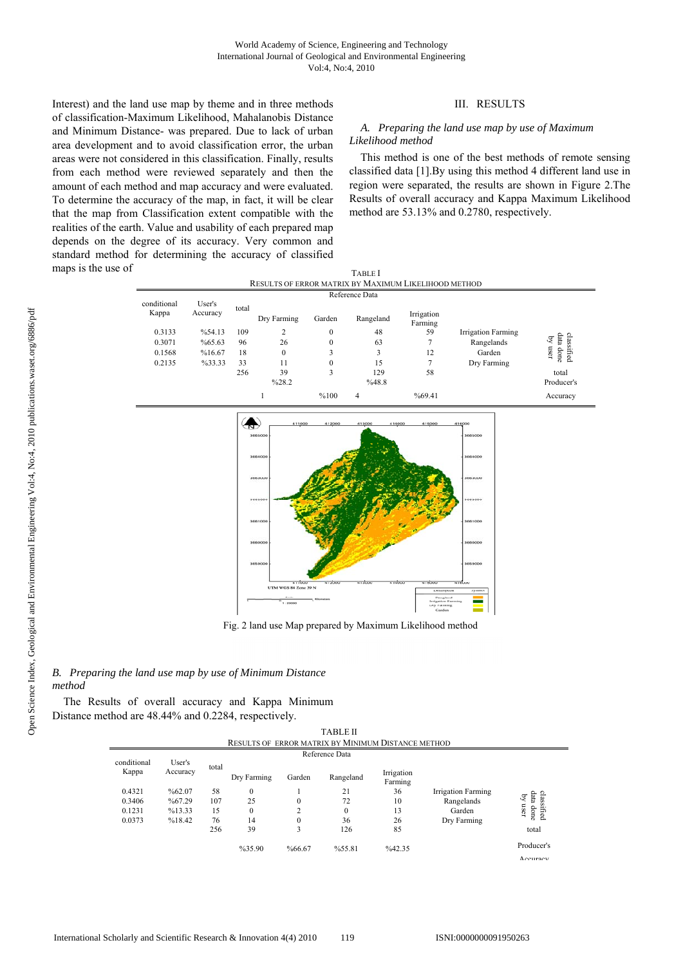Interest) and the land use map by theme and in three methods of classification-Maximum Likelihood, Mahalanobis Distance and Minimum Distance- was prepared. Due to lack of urban area development and to avoid classification error, the urban areas were not considered in this classification. Finally, results from each method were reviewed separately and then the amount of each method and map accuracy and were evaluated. To determine the accuracy of the map, in fact, it will be clear that the map from Classification extent compatible with the realities of the earth. Value and usability of each prepared map depends on the degree of its accuracy. Very common and standard method for determining the accuracy of classified maps is the use of

## III. RESULTS

### *A. Preparing the land use map by use of Maximum Likelihood method*

This method is one of the best methods of remote sensing classified data [1].By using this method 4 different land use in region were separated, the results are shown in Figure 2.The Results of overall accuracy and Kappa Maximum Likelihood method are 53.13% and 0.2780, respectively.

|                                                      |                    |       |                |                  | <b>TABLE</b> I |                       |                    |                               |  |  |
|------------------------------------------------------|--------------------|-------|----------------|------------------|----------------|-----------------------|--------------------|-------------------------------|--|--|
| RESULTS OF ERROR MATRIX BY MAXIMUM LIKELIHOOD METHOD |                    |       |                |                  |                |                       |                    |                               |  |  |
| conditional<br>Kappa                                 | User's<br>Accuracy |       |                | Reference Data   |                |                       |                    |                               |  |  |
|                                                      |                    | total | Dry Farming    | Garden           | Rangeland      | Irrigation<br>Farming |                    |                               |  |  |
| 0.3133                                               | %54.13             | 109   | $\overline{c}$ | $\boldsymbol{0}$ | 48             | 59                    | Irrigation Farming |                               |  |  |
| 0.3071                                               | %65.63             | 96    | 26             | $\Omega$         | 63             |                       | Rangelands         | classified<br>data done<br>्र |  |  |
| 0.1568                                               | %16.67             | 18    | $\theta$       | 3                |                | 12                    | Garden             | user<br>done.                 |  |  |
| 0.2135                                               | %33.33             | 33    | 11             | $\Omega$         | 15             |                       | Dry Farming        |                               |  |  |
|                                                      |                    | 256   | 39             | 3                | 129            | 58                    |                    | total                         |  |  |
|                                                      |                    |       | %28.2          |                  | %48.8          |                       |                    | Producer's                    |  |  |
|                                                      |                    |       |                | %100             | $\overline{4}$ | %69.41                |                    | Accuracy                      |  |  |



Fig. 2 land use Map prepared by Maximum Likelihood method

## *B. Preparing the land use map by use of Minimum Distance method*

The Results of overall accuracy and Kappa Minimum Distance method are 48.44% and 0.2284, respectively.

TABLE II RESULTS OF ERROR MATRIX BY MINIMUM DISTANCE METHOD

| Reference Data       |                    |       |             |          |              |                       |                    |                                         |
|----------------------|--------------------|-------|-------------|----------|--------------|-----------------------|--------------------|-----------------------------------------|
| conditional<br>Kappa | User's<br>Accuracy | total | Dry Farming | Garden   | Rangeland    | Irrigation<br>Farming |                    |                                         |
| 0.4321               | %62.07             | 58    | 0           |          | 21           | 36                    | Irrigation Farming |                                         |
| 0.3406               | %67.29             | 107   | 25          | $\theta$ | 72           | 10                    | Rangelands         | ्र                                      |
| 0.1231               | %13.33             | 15    | 0           | C<br>∠   | $\mathbf{0}$ | 13                    | Garden             | classified<br>data done<br>user<br>done |
| 0.0373               | %18.42             | 76    | 14          | $\theta$ | 36           | 26                    | Dry Farming        |                                         |
|                      |                    | 256   | 39          |          | 126          | 85                    |                    | total                                   |
|                      |                    |       | %35.90      | %66.67   | %55.81       | %42.35                |                    | Producer's                              |

Acourses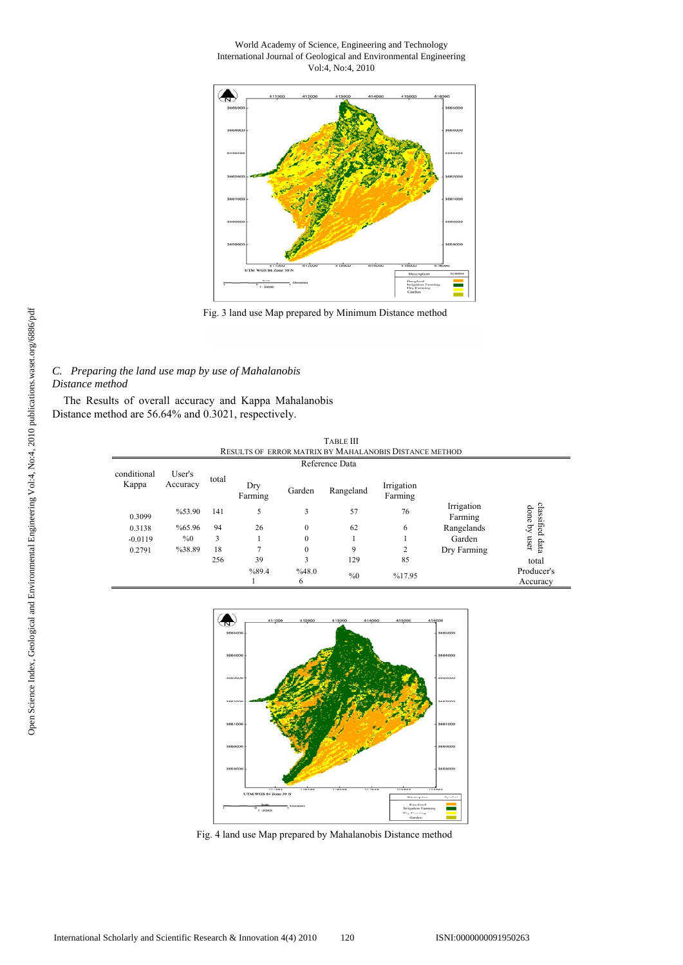#### World Academy of Science, Engineering and Technology International Journal of Geological and Environmental Engineering Vol:4, No:4, 2010



Fig. 3 land use Map prepared by Minimum Distance method

## *C. Preparing the land use map by use of Mahalanobis Distance method*

The Results of overall accuracy and Kappa Mahalanobis Distance method are 56.64% and 0.3021, respectively.

|                      |                    |       |                |                | <b>TABLE III</b> | RESULTS OF ERROR MATRIX BY MAHALANOBIS DISTANCE METHOD |                       |                                                            |
|----------------------|--------------------|-------|----------------|----------------|------------------|--------------------------------------------------------|-----------------------|------------------------------------------------------------|
|                      |                    |       |                | Reference Data |                  |                                                        |                       |                                                            |
| conditional<br>Kappa | User's<br>Accuracy | total | Dry<br>Farming | Garden         | Rangeland        | Irrigation<br>Farming                                  |                       |                                                            |
| 0.3099               | %53.90             | 141   |                | 3              | 57               | 76                                                     | Irrigation<br>Farming | classified<br>$\mathop{\mathsf{done}}\mathop{\mathsf{by}}$ |
| 0.3138               | %65.96             | 94    | 26             | $\theta$       | 62               | 6                                                      | Rangelands            |                                                            |
| $-0.0119$            | $\%0$              | 3     |                | $\theta$       |                  |                                                        | Garden                | user                                                       |
| 0.2791               | %38.89             | 18    | ⇁              | $\mathbf{0}$   | 9                | $\overline{c}$                                         | Dry Farming           | data                                                       |

6

%89.4 1

256 39 3 129 85 total

%48.0 % %0 %17.95 % 960 % Accuracy %0 % 48.0 % Accuracy



Fig. 4 land use Map prepared by Mahalanobis Distance method

Producer's